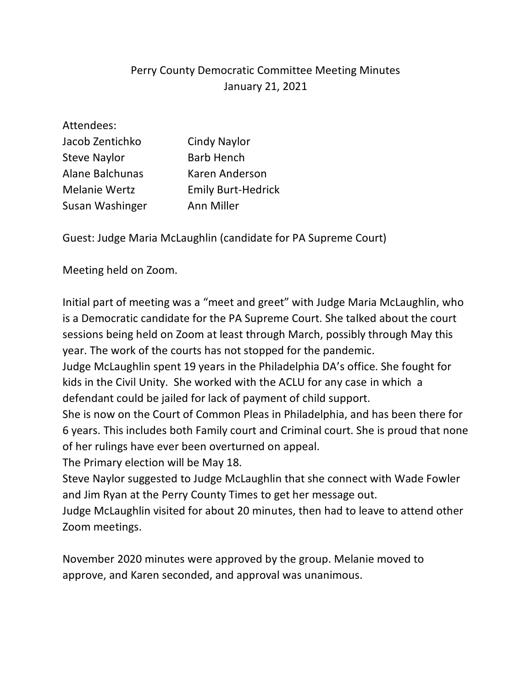## Perry County Democratic Committee Meeting Minutes January 21, 2021

| Attendees:             |                           |
|------------------------|---------------------------|
| Jacob Zentichko        | <b>Cindy Naylor</b>       |
| <b>Steve Naylor</b>    | <b>Barb Hench</b>         |
| <b>Alane Balchunas</b> | Karen Anderson            |
| <b>Melanie Wertz</b>   | <b>Emily Burt-Hedrick</b> |
| Susan Washinger        | Ann Miller                |

Guest: Judge Maria McLaughlin (candidate for PA Supreme Court)

Meeting held on Zoom.

Initial part of meeting was a "meet and greet" with Judge Maria McLaughlin, who is a Democratic candidate for the PA Supreme Court. She talked about the court sessions being held on Zoom at least through March, possibly through May this year. The work of the courts has not stopped for the pandemic.

Judge McLaughlin spent 19 years in the Philadelphia DA's office. She fought for kids in the Civil Unity. She worked with the ACLU for any case in which a defendant could be jailed for lack of payment of child support.

She is now on the Court of Common Pleas in Philadelphia, and has been there for 6 years. This includes both Family court and Criminal court. She is proud that none of her rulings have ever been overturned on appeal.

The Primary election will be May 18.

Steve Naylor suggested to Judge McLaughlin that she connect with Wade Fowler and Jim Ryan at the Perry County Times to get her message out.

Judge McLaughlin visited for about 20 minutes, then had to leave to attend other Zoom meetings.

November 2020 minutes were approved by the group. Melanie moved to approve, and Karen seconded, and approval was unanimous.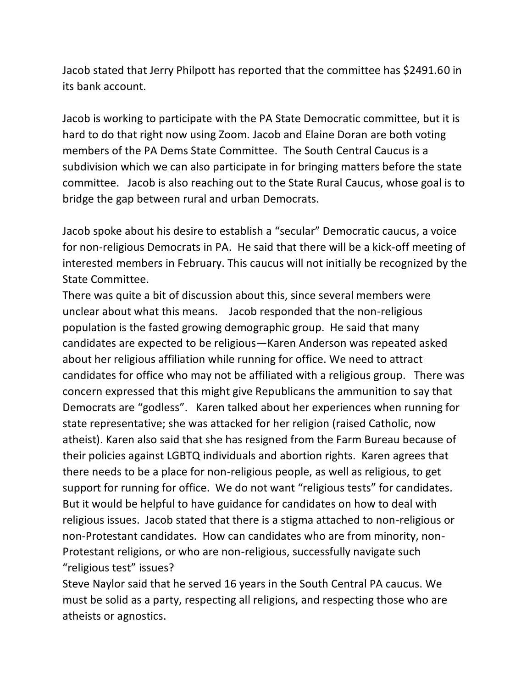Jacob stated that Jerry Philpott has reported that the committee has \$2491.60 in its bank account.

Jacob is working to participate with the PA State Democratic committee, but it is hard to do that right now using Zoom. Jacob and Elaine Doran are both voting members of the PA Dems State Committee. The South Central Caucus is a subdivision which we can also participate in for bringing matters before the state committee. Jacob is also reaching out to the State Rural Caucus, whose goal is to bridge the gap between rural and urban Democrats.

Jacob spoke about his desire to establish a "secular" Democratic caucus, a voice for non-religious Democrats in PA. He said that there will be a kick-off meeting of interested members in February. This caucus will not initially be recognized by the State Committee.

There was quite a bit of discussion about this, since several members were unclear about what this means. Jacob responded that the non-religious population is the fasted growing demographic group. He said that many candidates are expected to be religious—Karen Anderson was repeated asked about her religious affiliation while running for office. We need to attract candidates for office who may not be affiliated with a religious group. There was concern expressed that this might give Republicans the ammunition to say that Democrats are "godless". Karen talked about her experiences when running for state representative; she was attacked for her religion (raised Catholic, now atheist). Karen also said that she has resigned from the Farm Bureau because of their policies against LGBTQ individuals and abortion rights. Karen agrees that there needs to be a place for non-religious people, as well as religious, to get support for running for office. We do not want "religious tests" for candidates. But it would be helpful to have guidance for candidates on how to deal with religious issues. Jacob stated that there is a stigma attached to non-religious or non-Protestant candidates. How can candidates who are from minority, non-Protestant religions, or who are non-religious, successfully navigate such "religious test" issues?

Steve Naylor said that he served 16 years in the South Central PA caucus. We must be solid as a party, respecting all religions, and respecting those who are atheists or agnostics.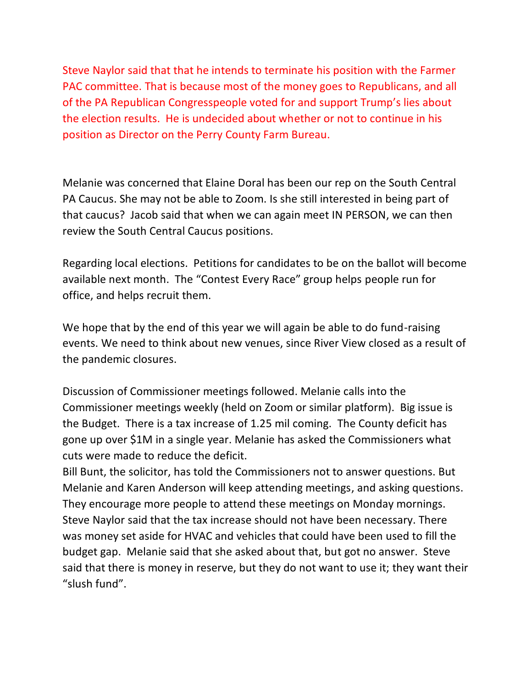Steve Naylor said that that he intends to terminate his position with the Farmer PAC committee. That is because most of the money goes to Republicans, and all of the PA Republican Congresspeople voted for and support Trump's lies about the election results. He is undecided about whether or not to continue in his position as Director on the Perry County Farm Bureau.

Melanie was concerned that Elaine Doral has been our rep on the South Central PA Caucus. She may not be able to Zoom. Is she still interested in being part of that caucus? Jacob said that when we can again meet IN PERSON, we can then review the South Central Caucus positions.

Regarding local elections. Petitions for candidates to be on the ballot will become available next month. The "Contest Every Race" group helps people run for office, and helps recruit them.

We hope that by the end of this year we will again be able to do fund-raising events. We need to think about new venues, since River View closed as a result of the pandemic closures.

Discussion of Commissioner meetings followed. Melanie calls into the Commissioner meetings weekly (held on Zoom or similar platform). Big issue is the Budget. There is a tax increase of 1.25 mil coming. The County deficit has gone up over \$1M in a single year. Melanie has asked the Commissioners what cuts were made to reduce the deficit.

Bill Bunt, the solicitor, has told the Commissioners not to answer questions. But Melanie and Karen Anderson will keep attending meetings, and asking questions. They encourage more people to attend these meetings on Monday mornings. Steve Naylor said that the tax increase should not have been necessary. There was money set aside for HVAC and vehicles that could have been used to fill the budget gap. Melanie said that she asked about that, but got no answer. Steve said that there is money in reserve, but they do not want to use it; they want their "slush fund".